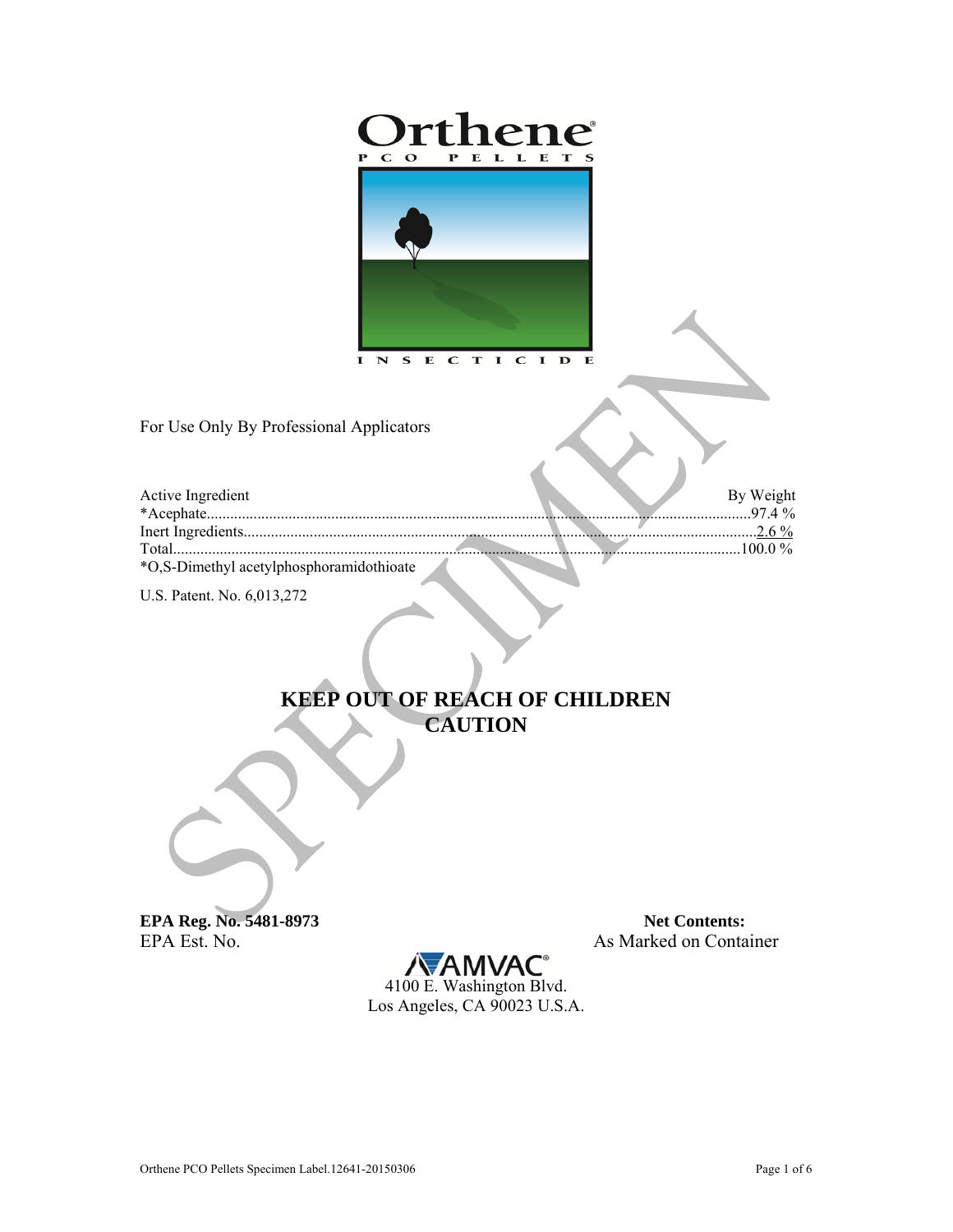

For Use Only By Professional Applicators

| Active Ingredient                        |  | By Weight<br>$97.4\%$ |
|------------------------------------------|--|-----------------------|
|                                          |  | 26%                   |
| Total                                    |  | 100 0 $\%$            |
| *O,S-Dimethyl acetylphosphoramidothioate |  |                       |

U.S. Patent. No. 6,013,272

## KEEP OUT OF REACH OF CHILDREN **CAUTION**

EPA Reg. No. 5481-8973 EPA Est. No.

**Net Contents:** As Marked on Container

À

**/VAMVAC** 4100 E. Washington Blvd. Los Angeles, CA 90023 U.S.A.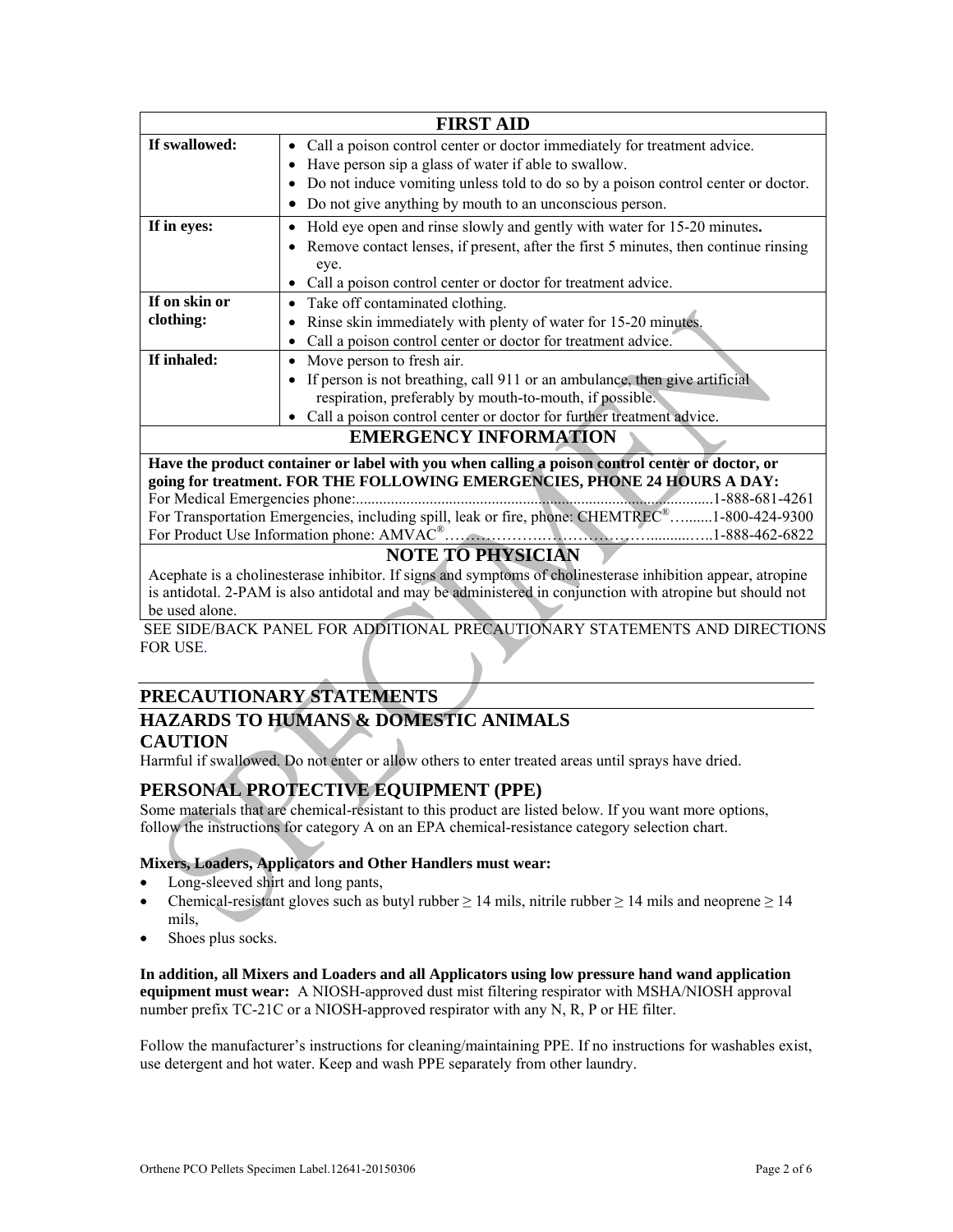| <b>FIRST AID</b>             |                                                                                       |  |  |  |
|------------------------------|---------------------------------------------------------------------------------------|--|--|--|
| If swallowed:                | • Call a poison control center or doctor immediately for treatment advice.            |  |  |  |
|                              | Have person sip a glass of water if able to swallow.                                  |  |  |  |
|                              | Do not induce vomiting unless told to do so by a poison control center or doctor.     |  |  |  |
|                              | Do not give anything by mouth to an unconscious person.                               |  |  |  |
| If in eyes:                  | Hold eye open and rinse slowly and gently with water for 15-20 minutes.               |  |  |  |
|                              | • Remove contact lenses, if present, after the first 5 minutes, then continue rinsing |  |  |  |
|                              | eye.                                                                                  |  |  |  |
|                              | Call a poison control center or doctor for treatment advice.<br>٠                     |  |  |  |
| If on skin or                | • Take off contaminated clothing.                                                     |  |  |  |
| clothing:                    | Rinse skin immediately with plenty of water for 15-20 minutes.                        |  |  |  |
|                              | Call a poison control center or doctor for treatment advice.                          |  |  |  |
| If inhaled:                  | Move person to fresh air.                                                             |  |  |  |
|                              | If person is not breathing, call 911 or an ambulance, then give artificial            |  |  |  |
|                              | respiration, preferably by mouth-to-mouth, if possible.                               |  |  |  |
|                              | Call a poison control center or doctor for further treatment advice.                  |  |  |  |
| <b>EMERGENCY INFORMATION</b> |                                                                                       |  |  |  |

**Have the product container or label with you when calling a poison control center or doctor, or going for treatment. FOR THE FOLLOWING EMERGENCIES, PHONE 24 HOURS A DAY:**  For Medical Emergencies phone:............................................................................................1-888-681-4261 For Transportation Emergencies, including spill, leak or fire, phone: CHEMTREC®..........1-800-424-9300 For Product Use Information phone: AMVAC®……………….…………………..........…..1-888-462-6822

### **NOTE TO PHYSICIAN**

Acephate is a cholinesterase inhibitor. If signs and symptoms of cholinesterase inhibition appear, atropine is antidotal. 2-PAM is also antidotal and may be administered in conjunction with atropine but should not be used alone.

 SEE SIDE/BACK PANEL FOR ADDITIONAL PRECAUTIONARY STATEMENTS AND DIRECTIONS FOR USE.

## **PRECAUTIONARY STATEMENTS**

# **HAZARDS TO HUMANS & DOMESTIC ANIMALS**

#### **CAUTION**

Harmful if swallowed. Do not enter or allow others to enter treated areas until sprays have dried.

## **PERSONAL PROTECTIVE EQUIPMENT (PPE)**

Some materials that are chemical-resistant to this product are listed below. If you want more options, follow the instructions for category A on an EPA chemical-resistance category selection chart.

#### **Mixers, Loaders, Applicators and Other Handlers must wear:**

- Long-sleeved shirt and long pants,
- Chemical-resistant gloves such as butyl rubber  $\geq 14$  mils, nitrile rubber  $\geq 14$  mils and neoprene  $\geq 14$ mils,
- Shoes plus socks.

**In addition, all Mixers and Loaders and all Applicators using low pressure hand wand application equipment must wear:** A NIOSH-approved dust mist filtering respirator with MSHA/NIOSH approval number prefix TC-21C or a NIOSH-approved respirator with any N, R, P or HE filter.

Follow the manufacturer's instructions for cleaning/maintaining PPE. If no instructions for washables exist, use detergent and hot water. Keep and wash PPE separately from other laundry.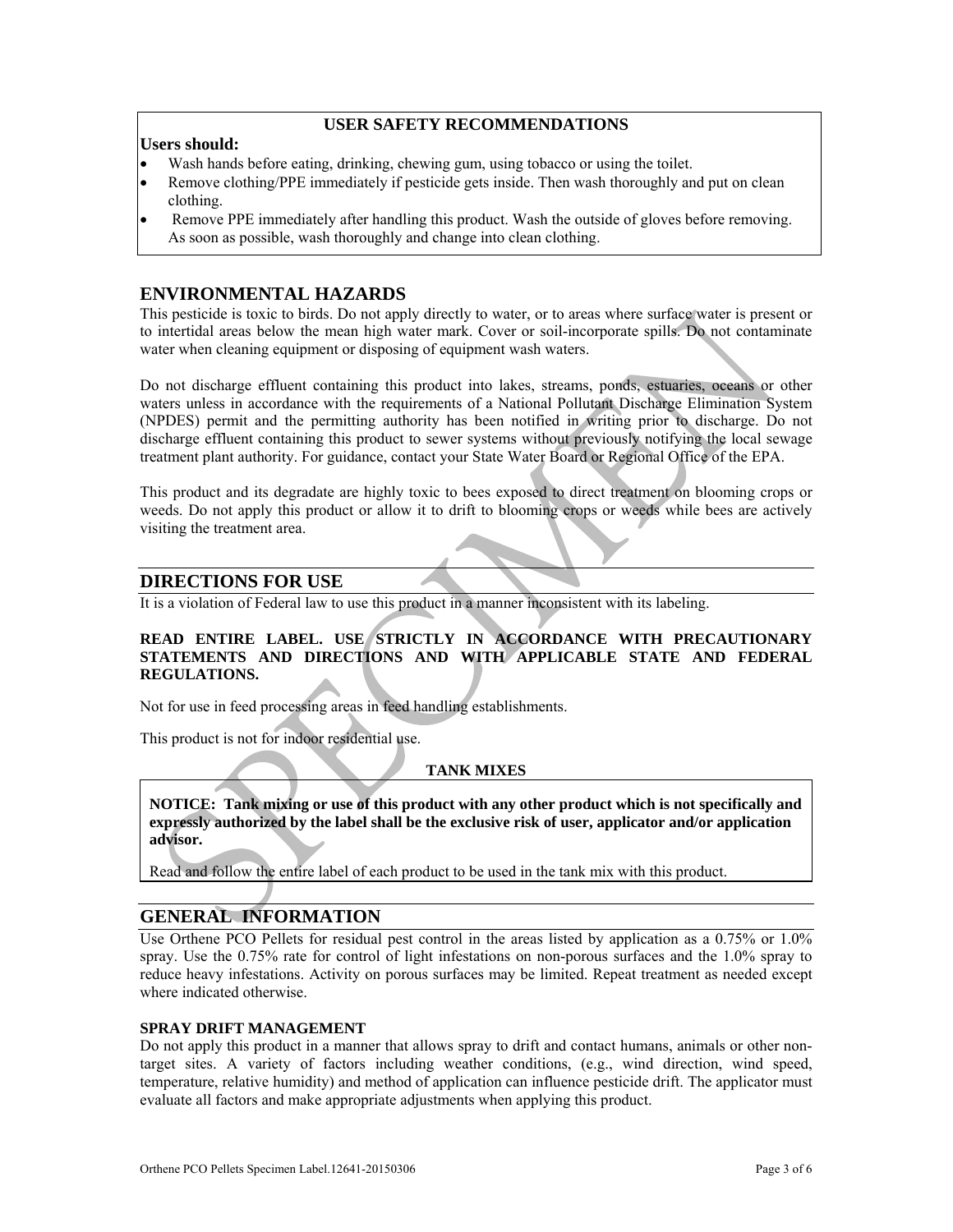#### **USER SAFETY RECOMMENDATIONS**

#### **Users should:**

- Wash hands before eating, drinking, chewing gum, using tobacco or using the toilet.
- Remove clothing/PPE immediately if pesticide gets inside. Then wash thoroughly and put on clean clothing.
- Remove PPE immediately after handling this product. Wash the outside of gloves before removing. As soon as possible, wash thoroughly and change into clean clothing.

#### **ENVIRONMENTAL HAZARDS**

This pesticide is toxic to birds. Do not apply directly to water, or to areas where surface water is present or to intertidal areas below the mean high water mark. Cover or soil-incorporate spills. Do not contaminate water when cleaning equipment or disposing of equipment wash waters.

Do not discharge effluent containing this product into lakes, streams, ponds, estuaries, oceans or other waters unless in accordance with the requirements of a National Pollutant Discharge Elimination System (NPDES) permit and the permitting authority has been notified in writing prior to discharge. Do not discharge effluent containing this product to sewer systems without previously notifying the local sewage treatment plant authority. For guidance, contact your State Water Board or Regional Office of the EPA.

This product and its degradate are highly toxic to bees exposed to direct treatment on blooming crops or weeds. Do not apply this product or allow it to drift to blooming crops or weeds while bees are actively visiting the treatment area.

#### **DIRECTIONS FOR USE**

It is a violation of Federal law to use this product in a manner inconsistent with its labeling.

#### **READ ENTIRE LABEL. USE STRICTLY IN ACCORDANCE WITH PRECAUTIONARY STATEMENTS AND DIRECTIONS AND WITH APPLICABLE STATE AND FEDERAL REGULATIONS.**

Not for use in feed processing areas in feed handling establishments.

This product is not for indoor residential use.

#### **TANK MIXES**

**NOTICE: Tank mixing or use of this product with any other product which is not specifically and expressly authorized by the label shall be the exclusive risk of user, applicator and/or application advisor.** 

Read and follow the entire label of each product to be used in the tank mix with this product.

#### **GENERAL INFORMATION**

Use Orthene PCO Pellets for residual pest control in the areas listed by application as a 0.75% or 1.0% spray. Use the 0.75% rate for control of light infestations on non-porous surfaces and the 1.0% spray to reduce heavy infestations. Activity on porous surfaces may be limited. Repeat treatment as needed except where indicated otherwise.

#### **SPRAY DRIFT MANAGEMENT**

Do not apply this product in a manner that allows spray to drift and contact humans, animals or other nontarget sites. A variety of factors including weather conditions, (e.g., wind direction, wind speed, temperature, relative humidity) and method of application can influence pesticide drift. The applicator must evaluate all factors and make appropriate adjustments when applying this product.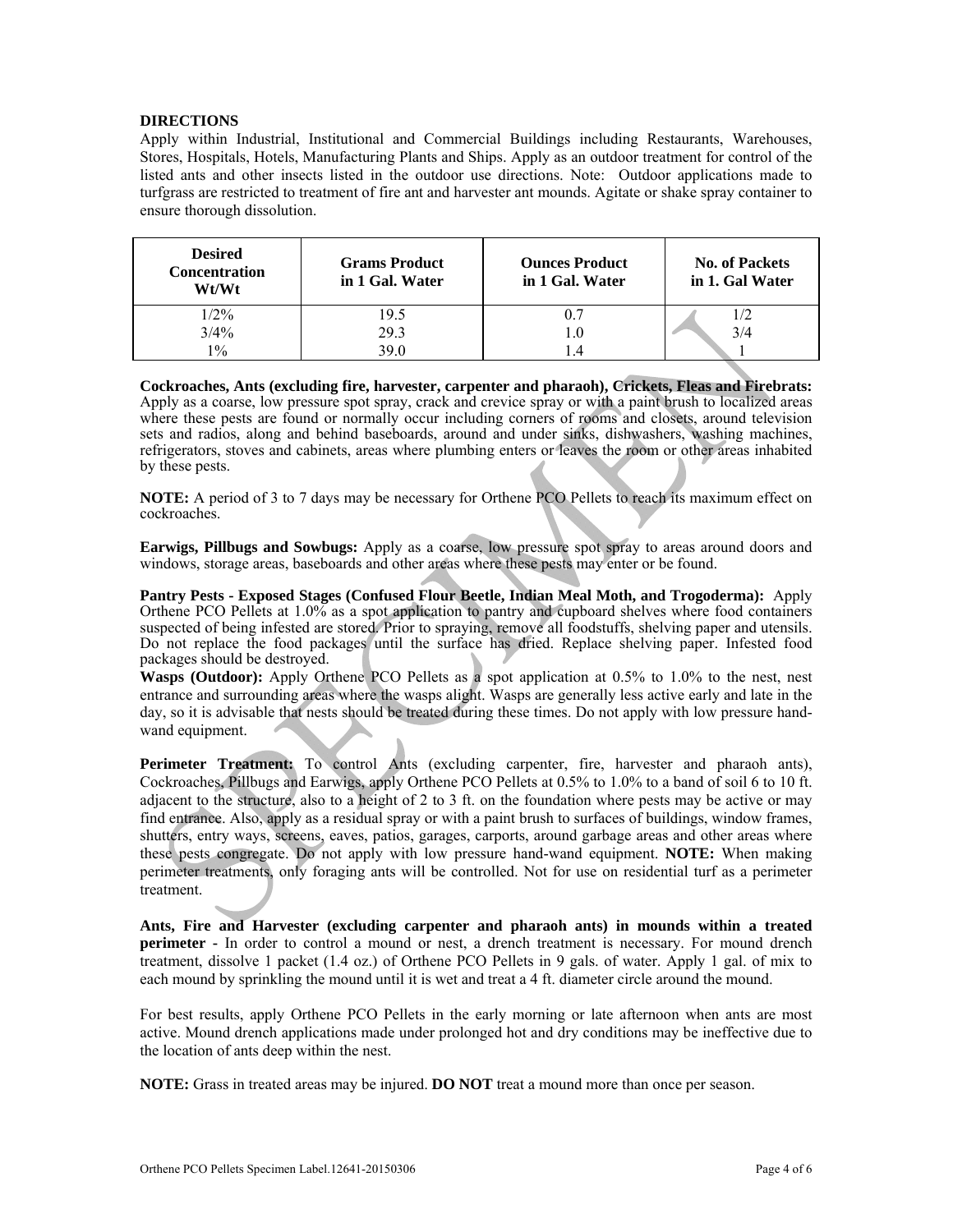#### **DIRECTIONS**

Apply within Industrial, Institutional and Commercial Buildings including Restaurants, Warehouses, Stores, Hospitals, Hotels, Manufacturing Plants and Ships. Apply as an outdoor treatment for control of the listed ants and other insects listed in the outdoor use directions. Note: Outdoor applications made to turfgrass are restricted to treatment of fire ant and harvester ant mounds. Agitate or shake spray container to ensure thorough dissolution.

| <b>Desired</b><br><b>Concentration</b><br>Wt/Wt | <b>Grams Product</b><br>in 1 Gal. Water | <b>Ounces Product</b><br>in 1 Gal. Water | <b>No. of Packets</b><br>in 1. Gal Water |
|-------------------------------------------------|-----------------------------------------|------------------------------------------|------------------------------------------|
| $1/2\%$                                         | 19.5                                    |                                          | 1/2                                      |
| $3/4\%$                                         | 29.3                                    |                                          | 3/4                                      |
| $1\%$                                           | 39.0                                    | 4.                                       |                                          |

**Cockroaches, Ants (excluding fire, harvester, carpenter and pharaoh), Crickets, Fleas and Firebrats:**  Apply as a coarse, low pressure spot spray, crack and crevice spray or with a paint brush to localized areas where these pests are found or normally occur including corners of rooms and closets, around television sets and radios, along and behind baseboards, around and under sinks, dishwashers, washing machines, refrigerators, stoves and cabinets, areas where plumbing enters or leaves the room or other areas inhabited by these pests.

**NOTE:** A period of 3 to 7 days may be necessary for Orthene PCO Pellets to reach its maximum effect on cockroaches.

**Earwigs, Pillbugs and Sowbugs:** Apply as a coarse, low pressure spot spray to areas around doors and windows, storage areas, baseboards and other areas where these pests may enter or be found.

**Pantry Pests - Exposed Stages (Confused Flour Beetle, Indian Meal Moth, and Trogoderma):** Apply Orthene PCO Pellets at 1.0% as a spot application to pantry and cupboard shelves where food containers suspected of being infested are stored. Prior to spraying, remove all foodstuffs, shelving paper and utensils. Do not replace the food packages until the surface has dried. Replace shelving paper. Infested food packages should be destroyed.

**Wasps (Outdoor):** Apply Orthene PCO Pellets as a spot application at 0.5% to 1.0% to the nest, nest entrance and surrounding areas where the wasps alight. Wasps are generally less active early and late in the day, so it is advisable that nests should be treated during these times. Do not apply with low pressure handwand equipment.

Perimeter Treatment: To control Ants (excluding carpenter, fire, harvester and pharaoh ants), Cockroaches, Pillbugs and Earwigs, apply Orthene PCO Pellets at 0.5% to 1.0% to a band of soil 6 to 10 ft. adjacent to the structure, also to a height of 2 to 3 ft. on the foundation where pests may be active or may find entrance. Also, apply as a residual spray or with a paint brush to surfaces of buildings, window frames, shutters, entry ways, screens, eaves, patios, garages, carports, around garbage areas and other areas where these pests congregate. Do not apply with low pressure hand-wand equipment. **NOTE:** When making perimeter treatments, only foraging ants will be controlled. Not for use on residential turf as a perimeter treatment.

**Ants, Fire and Harvester (excluding carpenter and pharaoh ants) in mounds within a treated perimeter** - In order to control a mound or nest, a drench treatment is necessary. For mound drench treatment, dissolve 1 packet (1.4 oz.) of Orthene PCO Pellets in 9 gals. of water. Apply 1 gal. of mix to each mound by sprinkling the mound until it is wet and treat a 4 ft. diameter circle around the mound.

For best results, apply Orthene PCO Pellets in the early morning or late afternoon when ants are most active. Mound drench applications made under prolonged hot and dry conditions may be ineffective due to the location of ants deep within the nest.

**NOTE:** Grass in treated areas may be injured. **DO NOT** treat a mound more than once per season.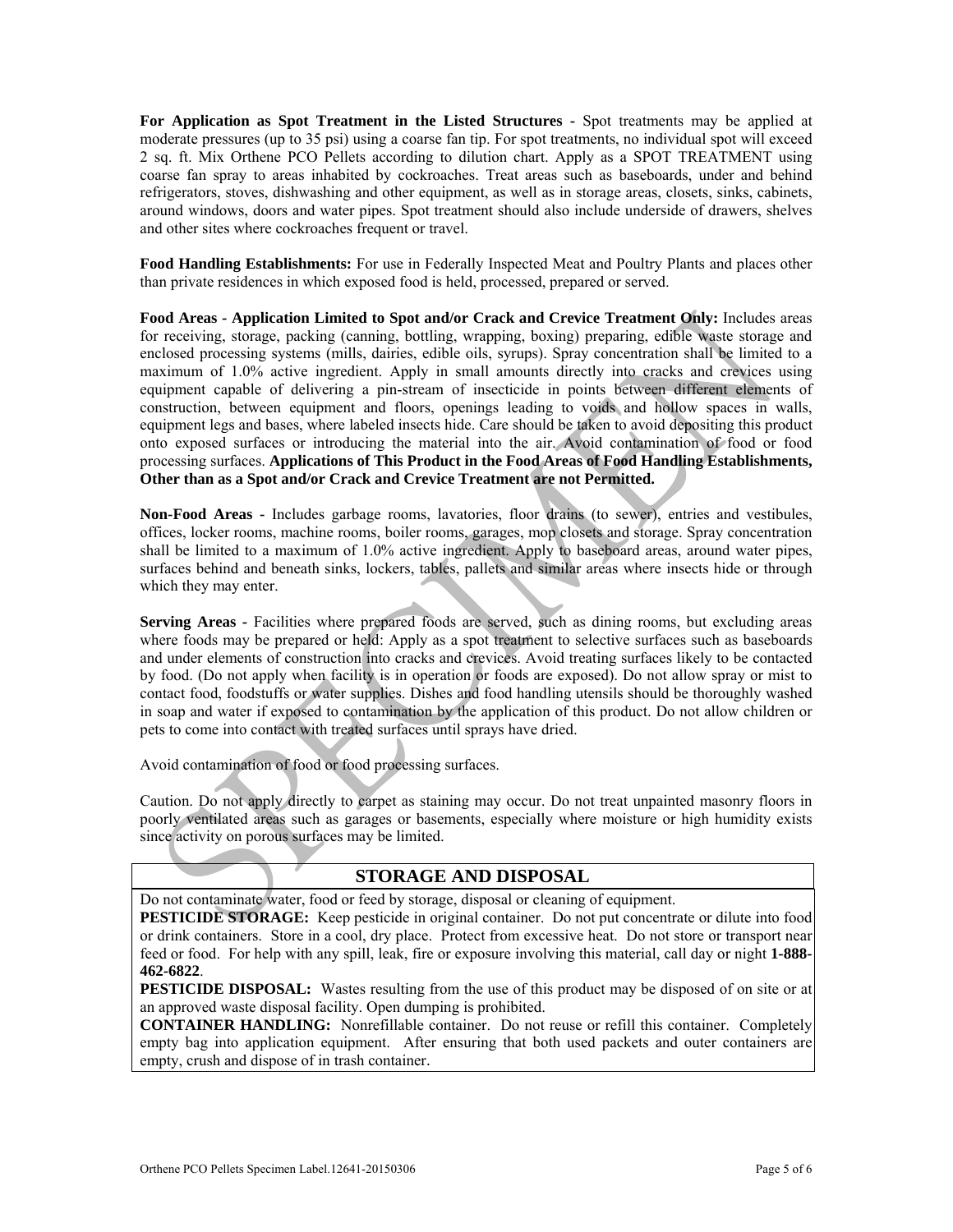**For Application as Spot Treatment in the Listed Structures -** Spot treatments may be applied at moderate pressures (up to 35 psi) using a coarse fan tip. For spot treatments, no individual spot will exceed 2 sq. ft. Mix Orthene PCO Pellets according to dilution chart. Apply as a SPOT TREATMENT using coarse fan spray to areas inhabited by cockroaches. Treat areas such as baseboards, under and behind refrigerators, stoves, dishwashing and other equipment, as well as in storage areas, closets, sinks, cabinets, around windows, doors and water pipes. Spot treatment should also include underside of drawers, shelves and other sites where cockroaches frequent or travel.

**Food Handling Establishments:** For use in Federally Inspected Meat and Poultry Plants and places other than private residences in which exposed food is held, processed, prepared or served.

**Food Areas - Application Limited to Spot and/or Crack and Crevice Treatment Only:** Includes areas for receiving, storage, packing (canning, bottling, wrapping, boxing) preparing, edible waste storage and enclosed processing systems (mills, dairies, edible oils, syrups). Spray concentration shall be limited to a maximum of 1.0% active ingredient. Apply in small amounts directly into cracks and crevices using equipment capable of delivering a pin-stream of insecticide in points between different elements of construction, between equipment and floors, openings leading to voids and hollow spaces in walls, equipment legs and bases, where labeled insects hide. Care should be taken to avoid depositing this product onto exposed surfaces or introducing the material into the air. Avoid contamination of food or food processing surfaces. **Applications of This Product in the Food Areas of Food Handling Establishments, Other than as a Spot and/or Crack and Crevice Treatment are not Permitted.** 

**Non-Food Areas -** Includes garbage rooms, lavatories, floor drains (to sewer), entries and vestibules, offices, locker rooms, machine rooms, boiler rooms, garages, mop closets and storage. Spray concentration shall be limited to a maximum of 1.0% active ingredient. Apply to baseboard areas, around water pipes, surfaces behind and beneath sinks, lockers, tables, pallets and similar areas where insects hide or through which they may enter.

Serving Areas - Facilities where prepared foods are served, such as dining rooms, but excluding areas where foods may be prepared or held: Apply as a spot treatment to selective surfaces such as baseboards and under elements of construction into cracks and crevices. Avoid treating surfaces likely to be contacted by food. (Do not apply when facility is in operation or foods are exposed). Do not allow spray or mist to contact food, foodstuffs or water supplies. Dishes and food handling utensils should be thoroughly washed in soap and water if exposed to contamination by the application of this product. Do not allow children or pets to come into contact with treated surfaces until sprays have dried.

Avoid contamination of food or food processing surfaces.

Caution. Do not apply directly to carpet as staining may occur. Do not treat unpainted masonry floors in poorly ventilated areas such as garages or basements, especially where moisture or high humidity exists since activity on porous surfaces may be limited.

## **STORAGE AND DISPOSAL**

Do not contaminate water, food or feed by storage, disposal or cleaning of equipment.

**PESTICIDE STORAGE:** Keep pesticide in original container. Do not put concentrate or dilute into food or drink containers. Store in a cool, dry place. Protect from excessive heat. Do not store or transport near feed or food. For help with any spill, leak, fire or exposure involving this material, call day or night **1-888- 462-6822**.

**PESTICIDE DISPOSAL:** Wastes resulting from the use of this product may be disposed of on site or at an approved waste disposal facility. Open dumping is prohibited.

**CONTAINER HANDLING:** Nonrefillable container. Do not reuse or refill this container. Completely empty bag into application equipment. After ensuring that both used packets and outer containers are empty, crush and dispose of in trash container.